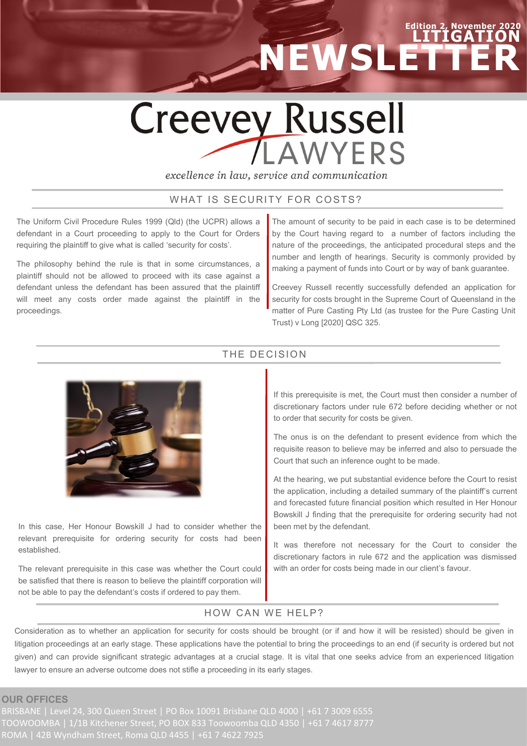# **Edition 2, November LITIGATION NEWSLETTER**

# **Creevey Russell LAWYERS**

excellence in law, service and communication

# WHAT IS SECURITY FOR COSTS?

The Uniform Civil Procedure Rules 1999 (Qld) (the UCPR) allows a defendant in a Court proceeding to apply to the Court for Orders requiring the plaintiff to give what is called 'security for costs'.

The philosophy behind the rule is that in some circumstances, a plaintiff should not be allowed to proceed with its case against a defendant unless the defendant has been assured that the plaintiff will meet any costs order made against the plaintiff in the proceedings.

The amount of security to be paid in each case is to be determined by the Court having regard to a number of factors including the nature of the proceedings, the anticipated procedural steps and the number and length of hearings. Security is commonly provided by making a payment of funds into Court or by way of bank guarantee.

Creevey Russell recently successfully defended an application for security for costs brought in the Supreme Court of Queensland in the matter of Pure Casting Pty Ltd (as trustee for the Pure Casting Unit Trust) v Long [2020] QSC 325.



In this case, Her Honour Bowskill J had to consider whether the relevant prerequisite for ordering security for costs had been established.

The relevant prerequisite in this case was whether the Court could be satisfied that there is reason to believe the plaintiff corporation will not be able to pay the defendant's costs if ordered to pay them.

### THE DECISION

If this prerequisite is met, the Court must then consider a number of discretionary factors under rule 672 before deciding whether or not to order that security for costs be given.

The onus is on the defendant to present evidence from which the requisite reason to believe may be inferred and also to persuade the Court that such an inference ought to be made.

At the hearing, we put substantial evidence before the Court to resist the application, including a detailed summary of the plaintiff's current and forecasted future financial position which resulted in Her Honour Bowskill J finding that the prerequisite for ordering security had not been met by the defendant.

It was therefore not necessary for the Court to consider the discretionary factors in rule 672 and the application was dismissed with an order for costs being made in our client's favour.

# HOW CAN WE HELP?

Consideration as to whether an application for security for costs should be brought (or if and how it will be resisted) should be given in litigation proceedings at an early stage. These applications have the potential to bring the proceedings to an end (if security is ordered but not given) and can provide significant strategic advantages at a crucial stage. It is vital that one seeks advice from an experienced litigation lawyer to ensure an adverse outcome does not stifle a proceeding in its early stages.

**OUR OFFICES**